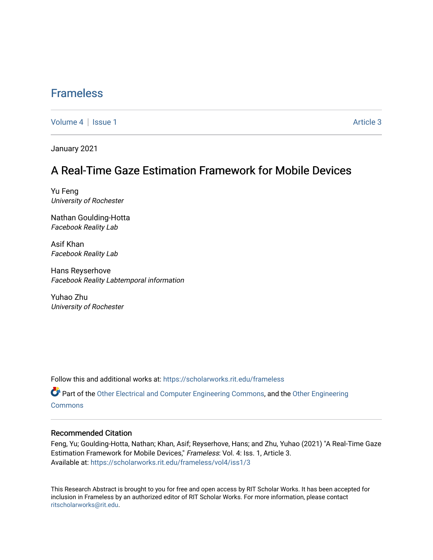## [Frameless](https://scholarworks.rit.edu/frameless)

[Volume 4](https://scholarworks.rit.edu/frameless/vol4) | [Issue 1](https://scholarworks.rit.edu/frameless/vol4/iss1) Article 3

January 2021

### A Real-Time Gaze Estimation Framework for Mobile Devices

Yu Feng University of Rochester

Nathan Goulding-Hotta Facebook Reality Lab

Asif Khan Facebook Reality Lab

Hans Reyserhove Facebook Reality Labtemporal information

Yuhao Zhu University of Rochester

Follow this and additional works at: [https://scholarworks.rit.edu/frameless](https://scholarworks.rit.edu/frameless?utm_source=scholarworks.rit.edu%2Fframeless%2Fvol4%2Fiss1%2F3&utm_medium=PDF&utm_campaign=PDFCoverPages)

Part of the [Other Electrical and Computer Engineering Commons,](https://network.bepress.com/hgg/discipline/278?utm_source=scholarworks.rit.edu%2Fframeless%2Fvol4%2Fiss1%2F3&utm_medium=PDF&utm_campaign=PDFCoverPages) and the [Other Engineering](https://network.bepress.com/hgg/discipline/315?utm_source=scholarworks.rit.edu%2Fframeless%2Fvol4%2Fiss1%2F3&utm_medium=PDF&utm_campaign=PDFCoverPages)  **[Commons](https://network.bepress.com/hgg/discipline/315?utm_source=scholarworks.rit.edu%2Fframeless%2Fvol4%2Fiss1%2F3&utm_medium=PDF&utm_campaign=PDFCoverPages)** 

#### Recommended Citation

Feng, Yu; Goulding-Hotta, Nathan; Khan, Asif; Reyserhove, Hans; and Zhu, Yuhao (2021) "A Real-Time Gaze Estimation Framework for Mobile Devices," Frameless: Vol. 4: Iss. 1, Article 3. Available at: [https://scholarworks.rit.edu/frameless/vol4/iss1/3](https://scholarworks.rit.edu/frameless/vol4/iss1/3?utm_source=scholarworks.rit.edu%2Fframeless%2Fvol4%2Fiss1%2F3&utm_medium=PDF&utm_campaign=PDFCoverPages)

This Research Abstract is brought to you for free and open access by RIT Scholar Works. It has been accepted for inclusion in Frameless by an authorized editor of RIT Scholar Works. For more information, please contact [ritscholarworks@rit.edu](mailto:ritscholarworks@rit.edu).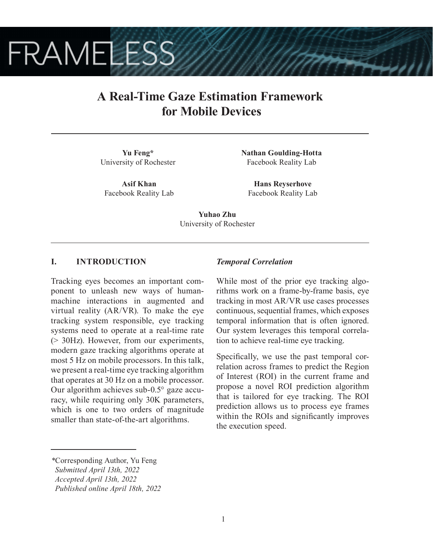# **FRAMELESS**

## **A Real-Time Gaze Estimation Framework for Mobile Devices**

**Yu Feng\*** University of Rochester

**Asif Khan** Facebook Reality Lab **Nathan Goulding-Hotta** Facebook Reality Lab

**Hans Reyserhove** Facebook Reality Lab

**Yuhao Zhu** University of Rochester

#### **I. INTRODUCTION**

Tracking eyes becomes an important component to unleash new ways of humanmachine interactions in augmented and virtual reality (AR/VR). To make the eye tracking system responsible, eye tracking systems need to operate at a real-time rate (> 30Hz). However, from our experiments, modern gaze tracking algorithms operate at most 5 Hz on mobile processors. In this talk, we present a real-time eye tracking algorithm that operates at 30 Hz on a mobile processor. Our algorithm achieves sub-0.5° gaze accuracy, while requiring only 30K parameters, which is one to two orders of magnitude smaller than state-of-the-art algorithms.

#### *Temporal Correlation*

While most of the prior eye tracking algorithms work on a frame-by-frame basis, eye tracking in most AR/VR use cases processes continuous, sequential frames, which exposes temporal information that is often ignored. Our system leverages this temporal correlation to achieve real-time eye tracking.

Specifically, we use the past temporal correlation across frames to predict the Region of Interest (ROI) in the current frame and propose a novel ROI prediction algorithm that is tailored for eye tracking. The ROI prediction allows us to process eye frames within the ROIs and significantly improves the execution speed.

*<sup>\*</sup>*Corresponding Author, Yu Feng

*Submitted April 13th, 2022*

*Accepted April 13th, 2022*

*Published online April 18th, 2022*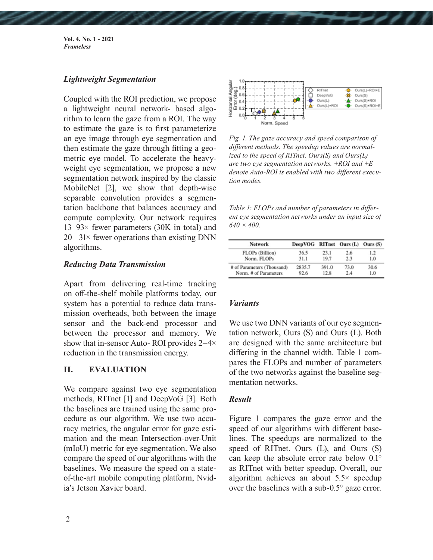**Vol. 4, No. 1 - 2021** *Frameless*

#### *Lightweight Segmentation*

Coupled with the ROI prediction, we propose a lightweight neural network- based algorithm to learn the gaze from a ROI. The way to estimate the gaze is to first parameterize an eye image through eye segmentation and then estimate the gaze through fitting a geometric eye model. To accelerate the heavyweight eye segmentation, we propose a new segmentation network inspired by the classic MobileNet [2], we show that depth-wise separable convolution provides a segmentation backbone that balances accuracy and compute complexity. Our network requires 13–93× fewer parameters (30K in total) and  $20-31\times$  fewer operations than existing DNN algorithms.

#### *Reducing Data Transmission*

Apart from delivering real-time tracking on off-the-shelf mobile platforms today, our system has a potential to reduce data transmission overheads, both between the image sensor and the back-end processor and between the processor and memory. We show that in-sensor Auto- ROI provides 2–4× reduction in the transmission energy.

#### **II. EVALUATION**

We compare against two eye segmentation methods, RITnet [1] and DeepVoG [3]. Both the baselines are trained using the same procedure as our algorithm. We use two accuracy metrics, the angular error for gaze estimation and the mean Intersection-over-Unit (mIoU) metric for eye segmentation. We also compare the speed of our algorithms with the baselines. We measure the speed on a stateof-the-art mobile computing platform, Nvidia's Jetson Xavier board.



*Fig. 1. The gaze accuracy and speed comparison of different methods. The speedup values are normalized to the speed of RITnet. Ours(S) and Ours(L) are two eye segmentation networks. +ROI and +E denote Auto-ROI is enabled with two different execution modes.*

*Table 1: FLOPs and number of parameters in different eye segmentation networks under an input size of 640 × 400.*

| <b>Network</b>             | DeepVOG RITnet Ours (L) Ours (S) |       |      |      |
|----------------------------|----------------------------------|-------|------|------|
| FLOPs (Billion)            | 36.5                             | 23.1  | 2.6  | 1.2  |
| Norm. FLOPs                | 31.1                             | 19.7  | 2.3  | 1.0  |
| # of Parameters (Thousand) | 2835.7                           | 391.0 | 73.0 | 30.6 |
| Norm, # of Parameters      | 92.6                             | 12.8  | 2.4  | 1.0  |

#### *Variants*

We use two DNN variants of our eye segmentation network, Ours (S) and Ours (L). Both are designed with the same architecture but differing in the channel width. Table 1 compares the FLOPs and number of parameters of the two networks against the baseline segmentation networks.

#### *Result*

Figure 1 compares the gaze error and the speed of our algorithms with different baselines. The speedups are normalized to the speed of RITnet. Ours (L), and Ours (S) can keep the absolute error rate below 0.1° as RITnet with better speedup. Overall, our algorithm achieves an about 5.5× speedup over the baselines with a sub-0.5° gaze error.